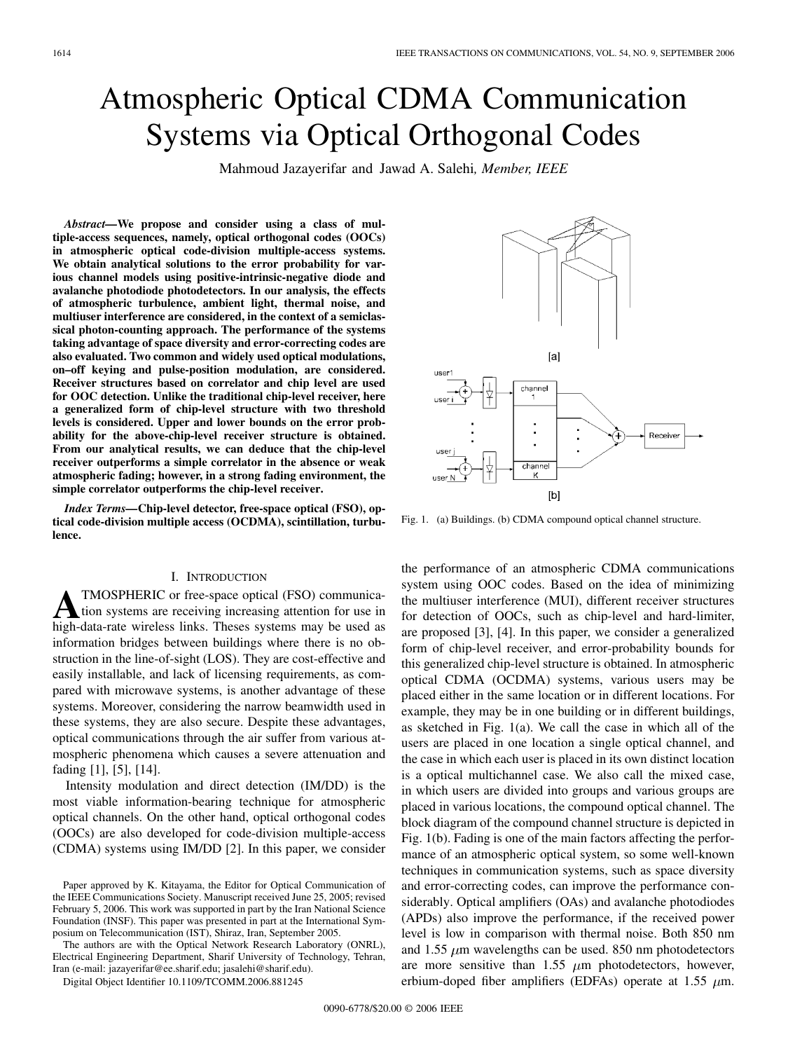# Atmospheric Optical CDMA Communication Systems via Optical Orthogonal Codes

Mahmoud Jazayerifar and Jawad A. Salehi*, Member, IEEE*

*Abstract—***We propose and consider using a class of multiple-access sequences, namely, optical orthogonal codes (OOCs) in atmospheric optical code-division multiple-access systems. We obtain analytical solutions to the error probability for various channel models using positive-intrinsic-negative diode and avalanche photodiode photodetectors. In our analysis, the effects of atmospheric turbulence, ambient light, thermal noise, and multiuser interference are considered, in the context of a semiclassical photon-counting approach. The performance of the systems taking advantage of space diversity and error-correcting codes are also evaluated. Two common and widely used optical modulations, on–off keying and pulse-position modulation, are considered. Receiver structures based on correlator and chip level are used for OOC detection. Unlike the traditional chip-level receiver, here a generalized form of chip-level structure with two threshold levels is considered. Upper and lower bounds on the error probability for the above-chip-level receiver structure is obtained. From our analytical results, we can deduce that the chip-level receiver outperforms a simple correlator in the absence or weak atmospheric fading; however, in a strong fading environment, the simple correlator outperforms the chip-level receiver.**

*Index Terms—***Chip-level detector, free-space optical (FSO), optical code-division multiple access (OCDMA), scintillation, turbulence.**

# I. INTRODUCTION

**A**TMOSPHERIC or free-space optical (FSO) communication systems are receiving increasing attention for use in high-data-rate wireless links. Theses systems may be used as information bridges between buildings where there is no obstruction in the line-of-sight (LOS). They are cost-effective and easily installable, and lack of licensing requirements, as compared with microwave systems, is another advantage of these systems. Moreover, considering the narrow beamwidth used in these systems, they are also secure. Despite these advantages, optical communications through the air suffer from various atmospheric phenomena which causes a severe attenuation and fading [\[1\]](#page-8-0), [\[5\],](#page-8-0) [\[14\].](#page-9-0)

Intensity modulation and direct detection (IM/DD) is the most viable information-bearing technique for atmospheric optical channels. On the other hand, optical orthogonal codes (OOCs) are also developed for code-division multiple-access (CDMA) systems using IM/DD [\[2\].](#page-8-0) In this paper, we consider

The authors are with the Optical Network Research Laboratory (ONRL), Electrical Engineering Department, Sharif University of Technology, Tehran, Iran (e-mail: jazayerifar@ee.sharif.edu; jasalehi@sharif.edu).

Digital Object Identifier 10.1109/TCOMM.2006.881245



Fig. 1. (a) Buildings. (b) CDMA compound optical channel structure.

the performance of an atmospheric CDMA communications system using OOC codes. Based on the idea of minimizing the multiuser interference (MUI), different receiver structures for detection of OOCs, such as chip-level and hard-limiter, are proposed [\[3\]](#page-8-0), [\[4\]](#page-8-0). In this paper, we consider a generalized form of chip-level receiver, and error-probability bounds for this generalized chip-level structure is obtained. In atmospheric optical CDMA (OCDMA) systems, various users may be placed either in the same location or in different locations. For example, they may be in one building or in different buildings, as sketched in Fig. 1(a). We call the case in which all of the users are placed in one location a single optical channel, and the case in which each user is placed in its own distinct location is a optical multichannel case. We also call the mixed case, in which users are divided into groups and various groups are placed in various locations, the compound optical channel. The block diagram of the compound channel structure is depicted in Fig. 1(b). Fading is one of the main factors affecting the performance of an atmospheric optical system, so some well-known techniques in communication systems, such as space diversity and error-correcting codes, can improve the performance considerably. Optical amplifiers (OAs) and avalanche photodiodes (APDs) also improve the performance, if the received power level is low in comparison with thermal noise. Both 850 nm and 1.55  $\mu$ m wavelengths can be used. 850 nm photodetectors are more sensitive than 1.55  $\mu$ m photodetectors, however, erbium-doped fiber amplifiers (EDFAs) operate at 1.55  $\mu$ m.

Paper approved by K. Kitayama, the Editor for Optical Communication of the IEEE Communications Society. Manuscript received June 25, 2005; revised February 5, 2006. This work was supported in part by the Iran National Science Foundation (INSF). This paper was presented in part at the International Symposium on Telecommunication (IST), Shiraz, Iran, September 2005.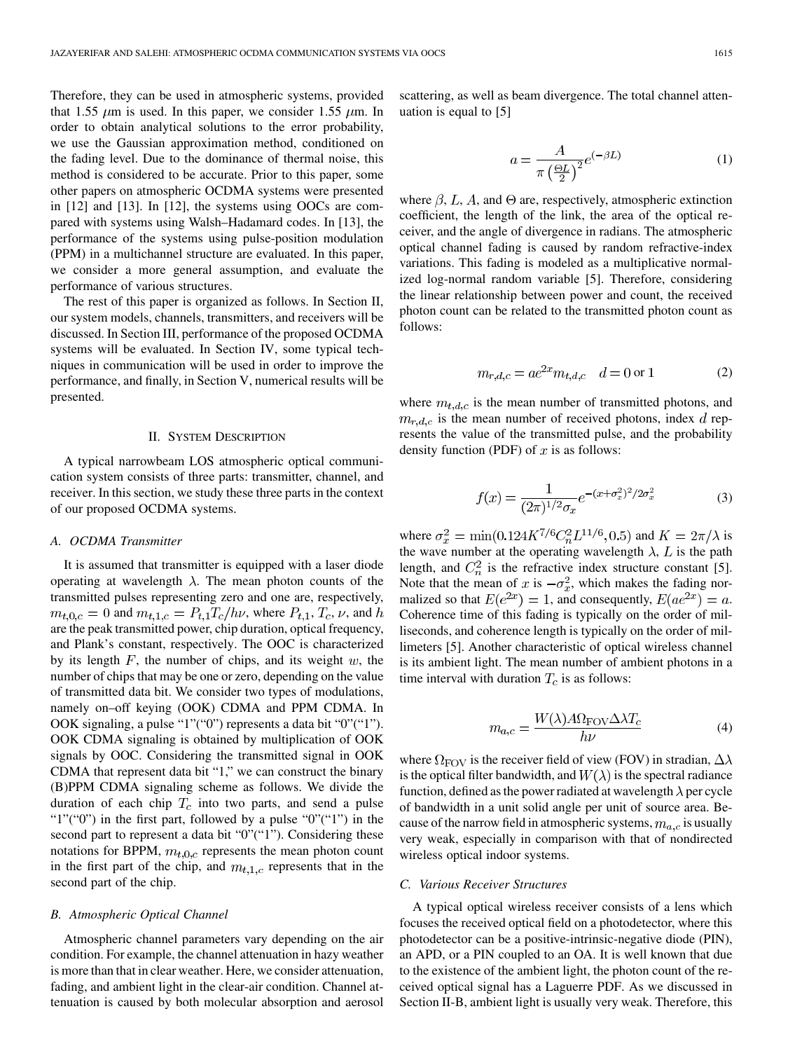<span id="page-1-0"></span>Therefore, they can be used in atmospheric systems, provided that 1.55  $\mu$ m is used. In this paper, we consider 1.55  $\mu$ m. In order to obtain analytical solutions to the error probability, we use the Gaussian approximation method, conditioned on the fading level. Due to the dominance of thermal noise, this method is considered to be accurate. Prior to this paper, some other papers on atmospheric OCDMA systems were presented in [\[12\]](#page-9-0) and [\[13\]](#page-9-0). In [\[12\]](#page-9-0), the systems using OOCs are compared with systems using Walsh–Hadamard codes. In [\[13\],](#page-9-0) the performance of the systems using pulse-position modulation (PPM) in a multichannel structure are evaluated. In this paper, we consider a more general assumption, and evaluate the performance of various structures.

The rest of this paper is organized as follows. In Section II, our system models, channels, transmitters, and receivers will be discussed. In [Section III,](#page-2-0) performance of the proposed OCDMA systems will be evaluated. In [Section IV,](#page-4-0) some typical techniques in communication will be used in order to improve the performance, and finally, in [Section V,](#page-5-0) numerical results will be presented.

#### II. SYSTEM DESCRIPTION

A typical narrowbeam LOS atmospheric optical communication system consists of three parts: transmitter, channel, and receiver. In this section, we study these three parts in the context of our proposed OCDMA systems.

#### *A. OCDMA Transmitter*

It is assumed that transmitter is equipped with a laser diode operating at wavelength  $\lambda$ . The mean photon counts of the transmitted pulses representing zero and one are, respectively,  $m_{t,0,c} = 0$  and  $m_{t,1,c} = P_{t,1}T_c/h\nu$ , where  $P_{t,1}, T_c, \nu$ , and h are the peak transmitted power, chip duration, optical frequency, and Plank's constant, respectively. The OOC is characterized by its length  $F$ , the number of chips, and its weight  $w$ , the number of chips that may be one or zero, depending on the value of transmitted data bit. We consider two types of modulations, namely on–off keying (OOK) CDMA and PPM CDMA. In OOK signaling, a pulse "1"("0") represents a data bit "0"("1"). OOK CDMA signaling is obtained by multiplication of OOK signals by OOC. Considering the transmitted signal in OOK CDMA that represent data bit "1," we can construct the binary (B)PPM CDMA signaling scheme as follows. We divide the duration of each chip  $T_c$  into two parts, and send a pulse "1"("0") in the first part, followed by a pulse "0"("1") in the second part to represent a data bit "0"("1"). Considering these notations for BPPM,  $m_{t,0,c}$  represents the mean photon count in the first part of the chip, and  $m_{t,1,c}$  represents that in the second part of the chip.

## *B. Atmospheric Optical Channel*

Atmospheric channel parameters vary depending on the air condition. For example, the channel attenuation in hazy weather is more than that in clear weather. Here, we consider attenuation, fading, and ambient light in the clear-air condition. Channel attenuation is caused by both molecular absorption and aerosol scattering, as well as beam divergence. The total channel attenuation is equal to [\[5\]](#page-8-0)

$$
a = \frac{A}{\pi \left(\frac{\Theta L}{2}\right)^2} e^{(-\beta L)} \tag{1}
$$

where  $\beta$ , L, A, and  $\Theta$  are, respectively, atmospheric extinction coefficient, the length of the link, the area of the optical receiver, and the angle of divergence in radians. The atmospheric optical channel fading is caused by random refractive-index variations. This fading is modeled as a multiplicative normalized log-normal random variable [\[5\].](#page-8-0) Therefore, considering the linear relationship between power and count, the received photon count can be related to the transmitted photon count as follows:

$$
m_{r,d,c} = ae^{2x}m_{t,d,c} \quad d = 0 \text{ or } 1 \tag{2}
$$

where  $m_{t,d,c}$  is the mean number of transmitted photons, and  $m_{r,d,c}$  is the mean number of received photons, index d represents the value of the transmitted pulse, and the probability density function (PDF) of  $x$  is as follows:

$$
f(x) = \frac{1}{(2\pi)^{1/2}\sigma_x}e^{-(x+\sigma_x^2)^2/2\sigma_x^2}
$$
 (3)

where  $\sigma_x^2 = \min(0.124 K^{7/6} C_n^2 L^{11/6}, 0.5)$  and  $K = 2\pi/\lambda$  is the wave number at the operating wavelength  $\lambda$ ,  $L$  is the path length, and  $C_n^2$  is the refractive index structure constant [\[5\].](#page-8-0) Note that the mean of x is  $-\sigma_x^2$ , which makes the fading normalized so that  $E(e^{2x}) = 1$ , and consequently,  $E(ae^{2x}) = a$ . Coherence time of this fading is typically on the order of milliseconds, and coherence length is typically on the order of millimeters [\[5\].](#page-8-0) Another characteristic of optical wireless channel is its ambient light. The mean number of ambient photons in a time interval with duration  $T_c$  is as follows:

$$
m_{a,c} = \frac{W(\lambda)A\Omega_{\text{FOV}}\Delta\lambda T_c}{h\nu} \tag{4}
$$

where  $\Omega_{\text{FOV}}$  is the receiver field of view (FOV) in stradian,  $\Delta\lambda$ is the optical filter bandwidth, and  $W(\lambda)$  is the spectral radiance function, defined as the power radiated at wavelength  $\lambda$  per cycle of bandwidth in a unit solid angle per unit of source area. Because of the narrow field in atmospheric systems,  $m_{a,c}$  is usually very weak, especially in comparison with that of nondirected wireless optical indoor systems.

### *C. Various Receiver Structures*

A typical optical wireless receiver consists of a lens which focuses the received optical field on a photodetector, where this photodetector can be a positive-intrinsic-negative diode (PIN), an APD, or a PIN coupled to an OA. It is well known that due to the existence of the ambient light, the photon count of the received optical signal has a Laguerre PDF. As we discussed in Section II-B, ambient light is usually very weak. Therefore, this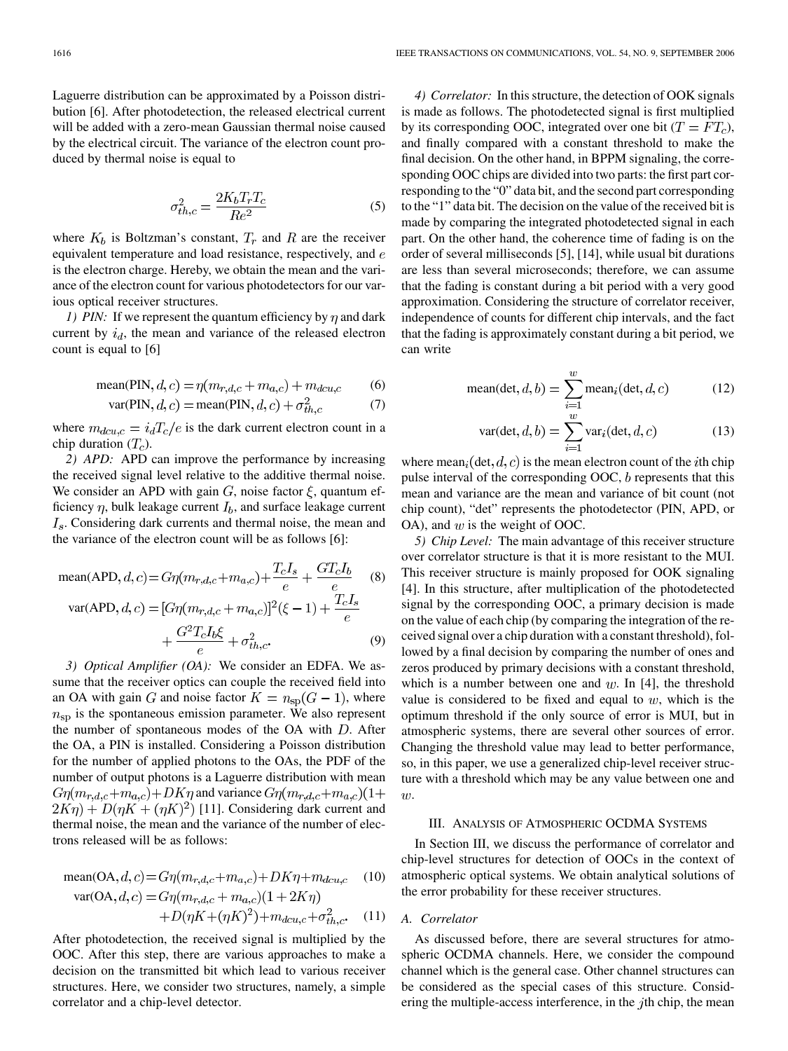<span id="page-2-0"></span>Laguerre distribution can be approximated by a Poisson distribution [\[6\]](#page-8-0). After photodetection, the released electrical current will be added with a zero-mean Gaussian thermal noise caused by the electrical circuit. The variance of the electron count produced by thermal noise is equal to

$$
\sigma_{th,c}^2 = \frac{2K_b T_r T_c}{Re^2} \tag{5}
$$

where  $K_b$  is Boltzman's constant,  $T_r$  and R are the receiver equivalent temperature and load resistance, respectively, and  $e$ is the electron charge. Hereby, we obtain the mean and the variance of the electron count for various photodetectors for our various optical receiver structures.

*1) PIN:* If we represent the quantum efficiency by  $\eta$  and dark current by  $i_d$ , the mean and variance of the released electron count is equal to [\[6\]](#page-8-0)

$$
\text{mean(PIN}, d, c) = \eta(m_{r,d,c} + m_{a,c}) + m_{dcu,c} \tag{6}
$$

$$
var(PIN, d, c) = mean(PIN, d, c) + \sigma_{th.c}^2
$$
 (7)

where  $m_{dcu,c} = i_d T_c/e$  is the dark current electron count in a chip duration  $(T_c)$ .

*2) APD:* APD can improve the performance by increasing the received signal level relative to the additive thermal noise. We consider an APD with gain G, noise factor  $\xi$ , quantum efficiency  $\eta$ , bulk leakage current  $I_b$ , and surface leakage current  $I<sub>s</sub>$ . Considering dark currents and thermal noise, the mean and the variance of the electron count will be as follows [\[6\]](#page-8-0):

mean(APD, d, c) = 
$$
G\eta(m_{r,d,c} + m_{a,c}) + \frac{T_c I_s}{e} + \frac{GT_c I_b}{e}
$$
 (8)  
\nvar(APD, d, c) =  $[G\eta(m_{r,d,c} + m_{a,c})]^2(\xi - 1) + \frac{T_c I_s}{e}$   
\n $+ \frac{G^2 T_c I_b \xi}{e} + \sigma_{th,c}^2$  (9)

*3) Optical Amplifier (OA):* We consider an EDFA. We assume that the receiver optics can couple the received field into an OA with gain G and noise factor  $K = n_{\rm sp}(G - 1)$ , where  $n_{\rm SD}$  is the spontaneous emission parameter. We also represent the number of spontaneous modes of the OA with  $D$ . After the OA, a PIN is installed. Considering a Poisson distribution for the number of applied photons to the OAs, the PDF of the number of output photons is a Laguerre distribution with mean  $G\eta(m_{r,d,c}+m_{a,c})+DK\eta$  and variance  $G\eta(m_{r,d,c}+m_{a,c})(1+$  $(2K\eta) + D(\eta K + (\eta K)^2)$  [\[11\].](#page-9-0) Considering dark current and thermal noise, the mean and the variance of the number of electrons released will be as follows:

mean(OA, d, c) = 
$$
G\eta(m_{r,d,c} + m_{a,c}) + DK\eta + m_{dcu,c}
$$
 (10)  
var(OA, d, c) =  $G\eta(m_{r,d,c} + m_{a,c})(1 + 2K\eta)$   
+  $D(\eta K + (\eta K)^2) + m_{dcu,c} + \sigma_{th,c}^2$ . (11)

After photodetection, the received signal is multiplied by the OOC. After this step, there are various approaches to make a decision on the transmitted bit which lead to various receiver structures. Here, we consider two structures, namely, a simple correlator and a chip-level detector.

*4) Correlator:* In this structure, the detection of OOK signals is made as follows. The photodetected signal is first multiplied by its corresponding OOC, integrated over one bit ( $T = FT<sub>c</sub>$ ), and finally compared with a constant threshold to make the final decision. On the other hand, in BPPM signaling, the corresponding OOC chips are divided into two parts: the first part corresponding to the "0" data bit, and the second part corresponding to the "1" data bit. The decision on the value of the received bit is made by comparing the integrated photodetected signal in each part. On the other hand, the coherence time of fading is on the order of several milliseconds [\[5\]](#page-8-0), [\[14\],](#page-9-0) while usual bit durations are less than several microseconds; therefore, we can assume that the fading is constant during a bit period with a very good approximation. Considering the structure of correlator receiver, independence of counts for different chip intervals, and the fact that the fading is approximately constant during a bit period, we can write

mean(det, d, b) = 
$$
\sum_{i=1}^{w} \text{mean}_i(\text{det}, d, c)
$$
 (12)

$$
var(det, d, b) = \sum_{i=1}^{w} var_i(det, d, c)
$$
 (13)

where mean,  $(\det, d, c)$  is the mean electron count of the *i*th chip pulse interval of the corresponding OOC,  $b$  represents that this mean and variance are the mean and variance of bit count (not chip count), "det" represents the photodetector (PIN, APD, or OA), and  $w$  is the weight of OOC.

*5) Chip Level:* The main advantage of this receiver structure over correlator structure is that it is more resistant to the MUI. This receiver structure is mainly proposed for OOK signaling [\[4\]](#page-8-0). In this structure, after multiplication of the photodetected signal by the corresponding OOC, a primary decision is made on the value of each chip (by comparing the integration of the received signal over a chip duration with a constant threshold), followed by a final decision by comparing the number of ones and zeros produced by primary decisions with a constant threshold, which is a number between one and  $w$ . In [\[4\]](#page-8-0), the threshold value is considered to be fixed and equal to  $w$ , which is the optimum threshold if the only source of error is MUI, but in atmospheric systems, there are several other sources of error. Changing the threshold value may lead to better performance, so, in this paper, we use a generalized chip-level receiver structure with a threshold which may be any value between one and  $w$ .

# III. ANALYSIS OF ATMOSPHERIC OCDMA SYSTEMS

In Section III, we discuss the performance of correlator and chip-level structures for detection of OOCs in the context of atmospheric optical systems. We obtain analytical solutions of the error probability for these receiver structures.

# *A. Correlator*

As discussed before, there are several structures for atmospheric OCDMA channels. Here, we consider the compound channel which is the general case. Other channel structures can be considered as the special cases of this structure. Considering the multiple-access interference, in the  $j$ th chip, the mean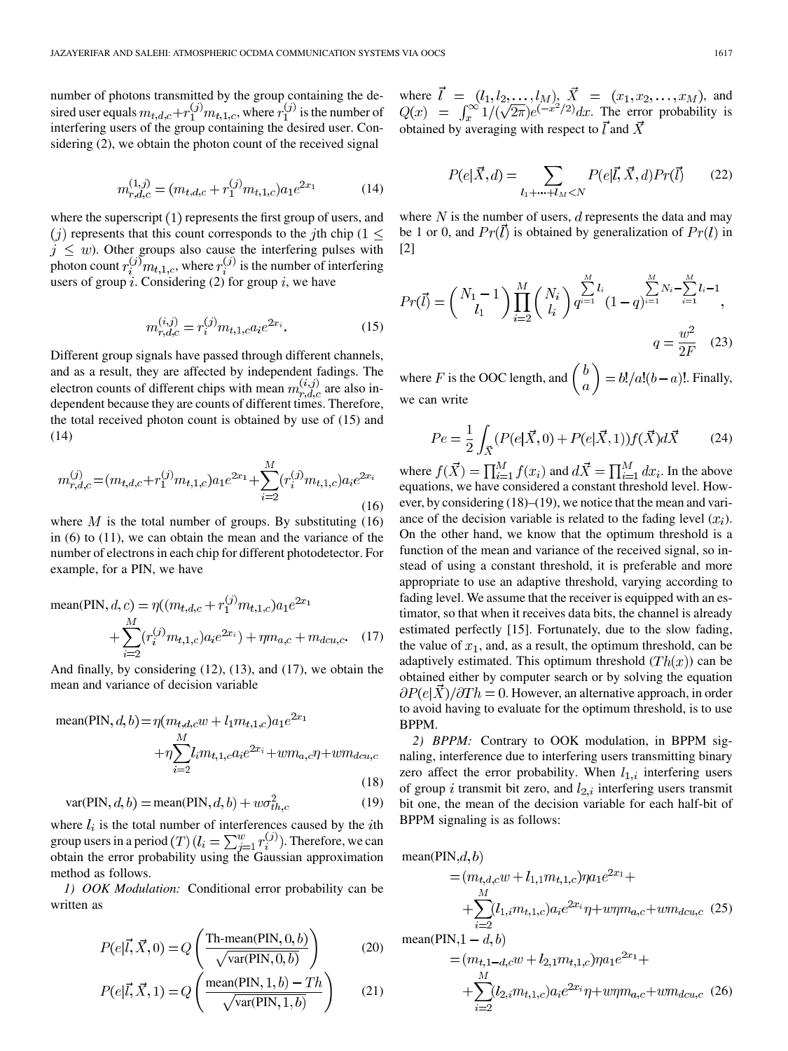<span id="page-3-0"></span>number of photons transmitted by the group containing the desired user equals  $m_{t,d,c} + r_1^{(j)} m_{t,1,c}$ , where  $r_1^{(j)}$  is the number of interfering users of the group containing the desired user. Considering [\(2\)](#page-1-0), we obtain the photon count of the received signal

$$
m_{r,d,c}^{(1,j)} = (m_{t,d,c} + r_1^{(j)} m_{t,1,c}) a_1 e^{2x_1}
$$
 (14)

where the superscript  $(1)$  represents the first group of users, and (*j*) represents that this count corresponds to the *j*th chip (1 <  $j \leq w$ ). Other groups also cause the interfering pulses with photon count  $r_i^{(j)} m_{t,1,c}$ , where  $r_i^{(j)}$  is the number of interfering users of group  $i$ . Considering [\(2\)](#page-1-0) for group  $i$ , we have

$$
m_{r,d,c}^{(i,j)} = r_i^{(j)} m_{t,1,c} a_i e^{2x_i}.
$$
 (15)

Different group signals have passed through different channels, and as a result, they are affected by independent fadings. The electron counts of different chips with mean  $m_{r,d,c}^{(i,j)}$  are also independent because they are counts of different times. Therefore, the total received photon count is obtained by use of (15) and (14)

$$
m_{r,d,c}^{(j)} = (m_{t,d,c} + r_1^{(j)}m_{t,1,c})a_1e^{2x_1} + \sum_{i=2}^{M} (r_i^{(j)}m_{t,1,c})a_i e^{2x_i}
$$
\n(16)

where M is the total number of groups. By substituting (16) in [\(6\)](#page-2-0) to [\(11\)](#page-2-0), we can obtain the mean and the variance of the number of electrons in each chip for different photodetector. For example, for a PIN, we have

mean(PIN, d, c) = 
$$
\eta((m_{t,d,c} + r_1^{(j)}m_{t,1,c})a_1e^{2x_1}
$$
  
  $+ \sum_{i=2}^{M} (r_i^{(j)}m_{t,1,c})a_i e^{2x_i}) + \eta m_{a,c} + m_{dcu,c}.$  (17)

And finally, by considering [\(12\), \(13\),](#page-2-0) and (17), we obtain the mean and variance of decision variable

mean(PIN, d, b) = 
$$
\eta(m_{t,d,c}w + l_1m_{t,1,c})a_1e^{2x_1}
$$
  
  $+ \eta \sum_{i=2}^{M} l_i m_{t,1,c} a_i e^{2x_i} + w m_{a,c} \eta + w m_{dcu,c}$  (18)

$$
var(PIN, d, b) = mean(PIN, d, b) + w\sigma_{th.c}^2
$$
\n(19)

where  $l_i$  is the total number of interferences caused by the *i*th group users in a period  $(T)$   $(l_i = \sum_{j=1}^{w} r_i^{(j)})$ . Therefore, we can obtain the error probability using the Gaussian approximation method as follows.

*1) OOK Modulation:* Conditional error probability can be written as

$$
P(e|\vec{l}, \vec{X}, 0) = Q\left(\frac{\text{Th-mean}(\text{PIN}, 0, b)}{\sqrt{\text{var}(\text{PIN}, 0, b)}}\right)
$$
(20)

$$
P(e|\vec{l}, \vec{X}, 1) = Q\left(\frac{\text{mean(PIN}, 1, b) - Th}{\sqrt{\text{var(PIN}, 1, b)}}\right)
$$
(21)

where  $l = (l_1, l_2, \ldots, l_M)$ ,  $X = (x_1, x_2, \ldots, x_M)$ , and . The error probability is obtained by averaging with respect to  $\vec{l}$  and  $\vec{X}$ 

$$
P(e|\vec{X},d) = \sum_{l_1 + \dots + l_M < N} P(e|\vec{l}, \vec{X}, d) Pr(\vec{l}) \tag{22}
$$

where  $N$  is the number of users,  $d$  represents the data and may be 1 or 0, and  $Pr(\vec{l})$  is obtained by generalization of  $Pr(l)$  in [\[2\]](#page-8-0)

$$
Pr(\vec{l}) = {N_1 - 1 \choose l_1} \prod_{i=2}^{M} {N_i \choose l_i} q^{\sum_{i=1}^{M} l_i} (1 - q)^{\sum_{i=1}^{M} N_i - \sum_{i=1}^{M} l_i - 1},
$$
  

$$
q = \frac{w^2}{2F} \quad (23)
$$

where F is the OOC length, and  $\binom{b}{a} = b!/a!(b-a)!$ . Finally, we can write

$$
Pe = \frac{1}{2} \int_{\vec{X}} (P(e|\vec{X},0) + P(e|\vec{X},1)) f(\vec{X}) d\vec{X}
$$
 (24)

where  $f(\vec{X}) = \prod_{i=1}^{M} f(x_i)$  and  $d\vec{X} = \prod_{i=1}^{M} dx_i$ . In the above equations, we have considered a constant threshold level. However, by considering (18)–(19), we notice that the mean and variance of the decision variable is related to the fading level  $(x_i)$ . On the other hand, we know that the optimum threshold is a function of the mean and variance of the received signal, so instead of using a constant threshold, it is preferable and more appropriate to use an adaptive threshold, varying according to fading level. We assume that the receiver is equipped with an estimator, so that when it receives data bits, the channel is already estimated perfectly [\[15\].](#page-9-0) Fortunately, due to the slow fading, the value of  $x_1$ , and, as a result, the optimum threshold, can be adaptively estimated. This optimum threshold  $(Th(x))$  can be obtained either by computer search or by solving the equation  $\partial P(e|X)/\partial Th = 0$ . However, an alternative approach, in order to avoid having to evaluate for the optimum threshold, is to use BPPM.

*2) BPPM:* Contrary to OOK modulation, in BPPM signaling, interference due to interfering users transmitting binary zero affect the error probability. When  $l_{1,i}$  interfering users of group i transmit bit zero, and  $l_{2,i}$  interfering users transmit bit one, the mean of the decision variable for each half-bit of BPPM signaling is as follows:

mean(PIN,d,b)  
\n= 
$$
(m_{t,d,c}w + l_{1,1}m_{t,1,c})\eta a_1 e^{2x_1} +
$$
  
\n+  $\sum_{i=2}^{M} (l_{1,i}m_{t,1,c})a_i e^{2x_i} \eta + w \eta m_{a,c} + w m_{dcu,c}$  (25)  
\nmean(PIN,1 - d, b)  
\n=  $(m_{t,1-d,c}w + l_{2,1}m_{t,1,c})\eta a_1 e^{2x_1} +$   
\n+  $\sum_{i=2}^{M} (l_{2,i}m_{t,1,c})a_i e^{2x_i} \eta + w \eta m_{a,c} + w m_{dcu,c}$  (26)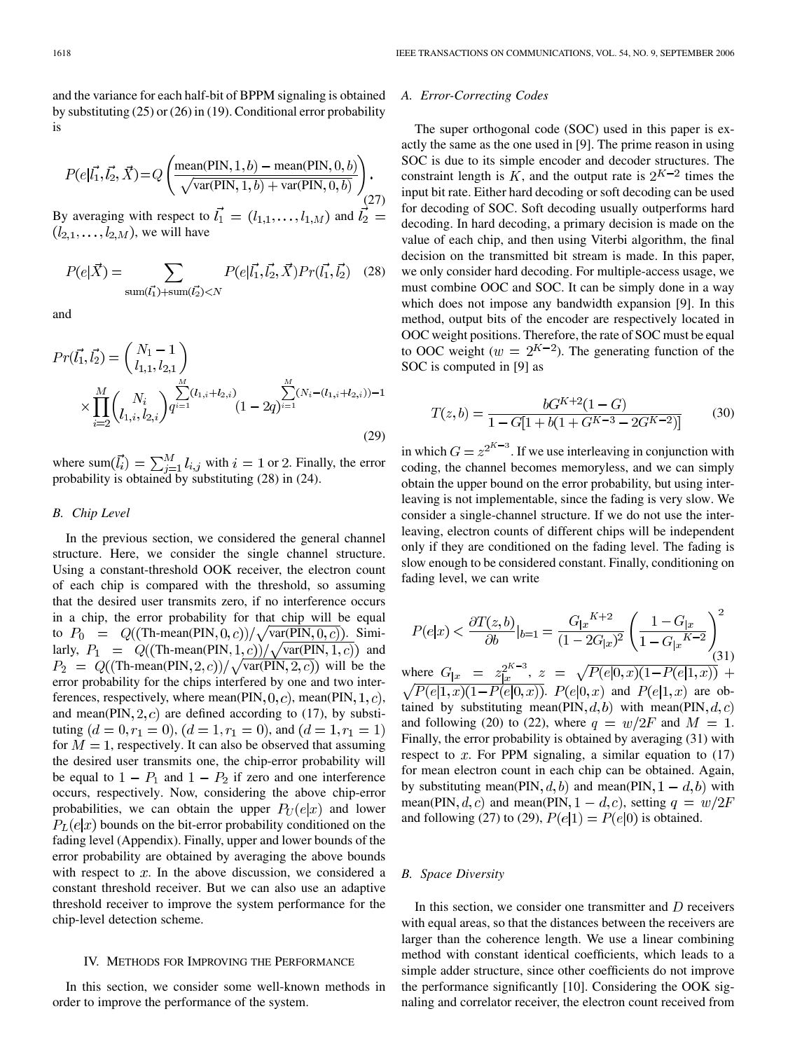<span id="page-4-0"></span>and the variance for each half-bit of BPPM signaling is obtained by substituting [\(25\) or \(26\)](#page-3-0) in [\(19\).](#page-3-0) Conditional error probability is

$$
P(e|\vec{l_1}, \vec{l_2}, \vec{X}) = Q\left(\frac{\text{mean(PIN}, 1, b) - \text{mean(PIN}, 0, b)}{\sqrt{\text{var(PIN}, 1, b) + \text{var(PIN}, 0, b)}}\right).
$$
  
By averaging with respect to  $\vec{l_1} = (l_{1,1}, \dots, l_{1,M})$  and  $\vec{l_2} =$ 

, we will have

$$
P(e|\vec{X}) = \sum_{\text{sum}(\vec{l_1}) + \text{sum}(\vec{l_2}) < N} P(e|\vec{l_1}, \vec{l_2}, \vec{X}) Pr(\vec{l_1}, \vec{l_2}) \tag{28}
$$

and

$$
Pr(\vec{l_1}, \vec{l_2}) = {N_1 - 1 \choose l_{1,1}, l_{2,1}} \times \prod_{i=2}^{M} {N_i \choose l_{1,i}, l_{2,i}} \sum_{q^{i=1}}^{M} {l_{1,i} + l_{2,i} \choose l_{1} - 2q^{i}} \sum_{i=1}^{M} {N_i - (l_{1,i} + l_{2,i}) - 1 \choose l_{1}, l_{2,i}}
$$
\n(29)

where sum $(\vec{l}_i) = \sum_{j=1}^{M} l_{i,j}$  with  $i = 1$  or 2. Finally, the error probability is obtained by substituting (28) in [\(24\).](#page-3-0)

## *B. Chip Level*

In the previous section, we considered the general channel structure. Here, we consider the single channel structure. Using a constant-threshold OOK receiver, the electron count of each chip is compared with the threshold, so assuming that the desired user transmits zero, if no interference occurs in a chip, the error probability for that chip will be equal to  $P_0 = Q((\text{Th-mean}(\text{PIN}, 0, c))/\sqrt{\text{var}(\text{PIN}, 0, c)})$ . Similarly,  $P_1 = Q((\text{Th-mean}(\text{PIN}, 1, c))/\sqrt{\text{var}(\text{PIN}, 1, c)})$  and  $P_2 = Q((\text{Th-mean(PIN}, 2, c))/\sqrt{\text{var(PIN}, 2, c)})$  will be the error probability for the chips interfered by one and two interferences, respectively, where mean(PIN,  $0, c$ ), mean(PIN,  $1, c$ ), and mean(PIN,  $2, c$ ) are defined according to [\(17\)](#page-3-0), by substituting  $(d = 0, r_1 = 0)$ ,  $(d = 1, r_1 = 0)$ , and  $(d = 1, r_1 = 1)$ for  $M = 1$ , respectively. It can also be observed that assuming the desired user transmits one, the chip-error probability will be equal to  $1 - P_1$  and  $1 - P_2$  if zero and one interference occurs, respectively. Now, considering the above chip-error probabilities, we can obtain the upper  $P_U(e|x)$  and lower  $P_L(e|x)$  bounds on the bit-error probability conditioned on the fading level ([Appendix\)](#page-7-0). Finally, upper and lower bounds of the error probability are obtained by averaging the above bounds with respect to  $x$ . In the above discussion, we considered a constant threshold receiver. But we can also use an adaptive threshold receiver to improve the system performance for the chip-level detection scheme.

## IV. METHODS FOR IMPROVING THE PERFORMANCE

In this section, we consider some well-known methods in order to improve the performance of the system.

## *A. Error-Correcting Codes*

The super orthogonal code (SOC) used in this paper is exactly the same as the one used in [\[9\].](#page-9-0) The prime reason in using SOC is due to its simple encoder and decoder structures. The constraint length is  $K$ , and the output rate is  $2^{K-2}$  times the input bit rate. Either hard decoding or soft decoding can be used for decoding of SOC. Soft decoding usually outperforms hard decoding. In hard decoding, a primary decision is made on the value of each chip, and then using Viterbi algorithm, the final decision on the transmitted bit stream is made. In this paper, we only consider hard decoding. For multiple-access usage, we must combine OOC and SOC. It can be simply done in a way which does not impose any bandwidth expansion [\[9\]](#page-9-0). In this method, output bits of the encoder are respectively located in OOC weight positions. Therefore, the rate of SOC must be equal to OOC weight ( $w = 2^{K-2}$ ). The generating function of the SOC is computed in [\[9\]](#page-9-0) as

$$
T(z,b) = \frac{bG^{K+2}(1-G)}{1 - G[1 + b(1 + G^{K-3} - 2G^{K-2})]} \tag{30}
$$

in which  $G = z^{2^{K-3}}$ . If we use interleaving in conjunction with coding, the channel becomes memoryless, and we can simply obtain the upper bound on the error probability, but using interleaving is not implementable, since the fading is very slow. We consider a single-channel structure. If we do not use the interleaving, electron counts of different chips will be independent only if they are conditioned on the fading level. The fading is slow enough to be considered constant. Finally, conditioning on fading level, we can write

$$
P(e|x) < \frac{\partial T(z,b)}{\partial b}|_{b=1} = \frac{G_{|x}^{K+2}}{(1 - 2G_{|x})^2} \left(\frac{1 - G_{|x}}{1 - G_{|x}^{K-2}}\right)_{(31)}^2
$$

where  $G_{|x} = z_{|x}^{2^{n-3}}$ , .  $P(e|0, x)$  and  $P(e|1, x)$  are obtained by substituting mean(PIN,  $d, b$ ) with mean(PIN,  $d, c$ ) and following [\(20\)](#page-3-0) to [\(22\)](#page-3-0), where  $q = w/2F$  and  $M = 1$ . Finally, the error probability is obtained by averaging (31) with respect to x. For PPM signaling, a similar equation to  $(17)$ for mean electron count in each chip can be obtained. Again, by substituting mean(PIN,  $d, b$ ) and mean(PIN,  $1 - d, b$ ) with mean(PIN, d, c) and mean(PIN,  $1 - d$ , c), setting  $q = w/2F$ and following (27) to (29),  $P(e|1) = P(e|0)$  is obtained.

## *B. Space Diversity*

In this section, we consider one transmitter and  $D$  receivers with equal areas, so that the distances between the receivers are larger than the coherence length. We use a linear combining method with constant identical coefficients, which leads to a simple adder structure, since other coefficients do not improve the performance significantly [\[10\].](#page-9-0) Considering the OOK signaling and correlator receiver, the electron count received from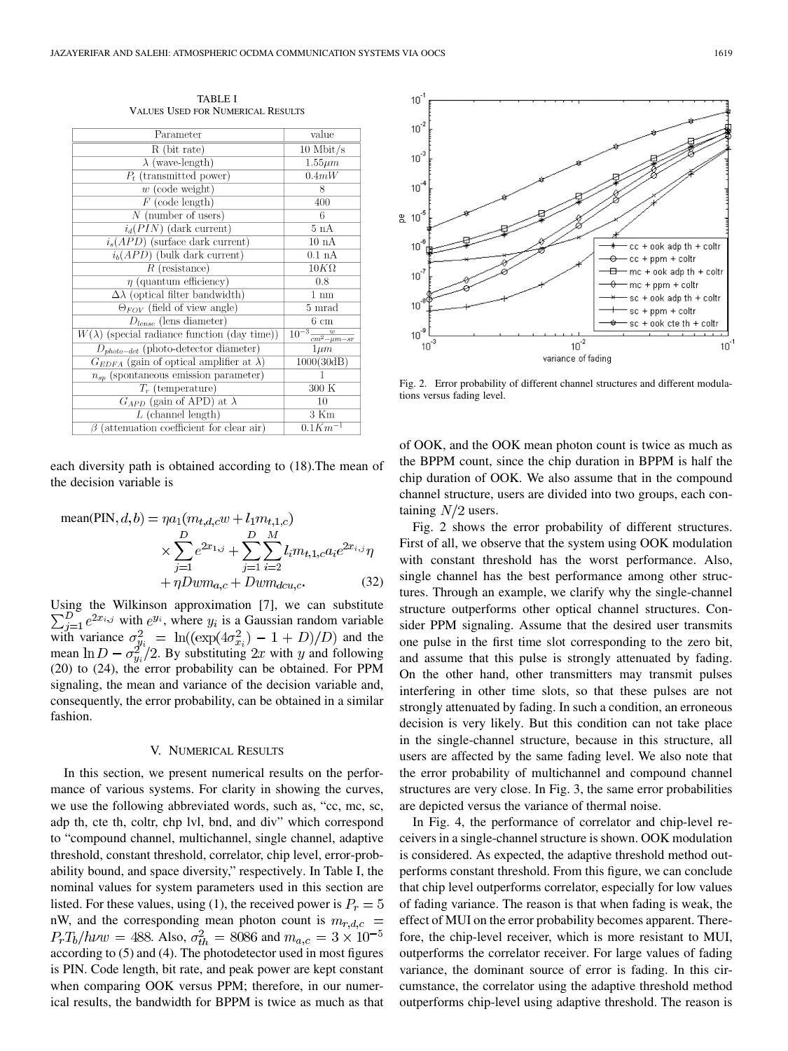<span id="page-5-0"></span>

| Parameter                                            | value                            |
|------------------------------------------------------|----------------------------------|
| $R$ (bit rate)                                       | $10$ Mbit/s                      |
| $\lambda$ (wave-length)                              | $1.55 \mu m$                     |
| $P_t$ (transmitted power)                            | 0.4mW                            |
| $w$ (code weight)                                    | 8                                |
| $F$ (code length)                                    | 400                              |
| $\overline{N}$ (number of users)                     | 6                                |
| $i_d(PIN)$ (dark current)                            | 5 nA                             |
| $i_s(APD)$ (surface dark current)                    | 10 nA                            |
| $i_b(APD)$ (bulk dark current)                       | $0.1\;\text{nA}$                 |
| $R$ (resistance)                                     | $10K\Omega$                      |
| $\eta$ (quantum efficiency)                          | 0.8                              |
| $\Delta\lambda$ (optical filter bandwidth)           | $1 \text{ nm}$                   |
| $\Theta_{FOV}$ (field of view angle)                 | 5 mrad                           |
| $D_{lense}$ (lens diameter)                          | $6 \text{ cm}$                   |
| $W(\lambda)$ (special radiance function (day time))  | $10^{-3}\frac{w}{cm^2-\mu m-sr}$ |
| $D_{photo-det}$ (photo-detector diameter)            | $1 \mu m$                        |
| $G_{EDFA}$ (gain of optical amplifier at $\lambda$ ) | 1000(30dB)                       |
| $n_{sp}$ (spontaneous emission parameter)            | 1                                |
| $T_r$ (temperature)                                  | 300 K                            |
| $G_{APD}$ (gain of APD) at $\lambda$                 | 10                               |
| $L$ (channel length)                                 | 3 Km                             |
| $\beta$ (attenuation coefficient for clear air)      | $0.1Km^{-1}$                     |
|                                                      |                                  |

TABLE I VALUES USED FOR NUMERICAL RESULTS

each diversity path is obtained according to [\(18\).](#page-3-0)The mean of the decision variable is

mean(PIN, d, b) = 
$$
\eta a_1(m_{t,d,c}w + l_1m_{t,1,c})
$$
  
\n
$$
\times \sum_{j=1}^{D} e^{2x_{1,j}} + \sum_{j=1}^{D} \sum_{i=2}^{M} l_i m_{t,1,c} a_i e^{2x_{i,j}} \eta
$$
\n
$$
+ \eta D w m_{a,c} + D w m_{dcu,c}.
$$
\n(32)

Using the Wilkinson approximation [\[7\],](#page-8-0) we can substitute with  $e^{y_i}$ , where  $y_i$  is a Gaussian random variable with variance  $\sigma_{u_i}^2 = \ln((\exp(4\sigma_{x_i}^2) - 1 + D)/D)$  and the mean  $\ln D - \sigma_w^2/2$ . By substituting  $2x$  with y and following [\(20\)](#page-3-0) to [\(24\),](#page-3-0) the error probability can be obtained. For PPM signaling, the mean and variance of the decision variable and, consequently, the error probability, can be obtained in a similar fashion.

## V. NUMERICAL RESULTS

In this section, we present numerical results on the performance of various systems. For clarity in showing the curves, we use the following abbreviated words, such as, "cc, mc, sc, adp th, cte th, coltr, chp lvl, bnd, and div" which correspond to "compound channel, multichannel, single channel, adaptive threshold, constant threshold, correlator, chip level, error-probability bound, and space diversity," respectively. In Table I, the nominal values for system parameters used in this section are listed. For these values, using [\(1\)](#page-1-0), the received power is  $P_r = 5$ nW, and the corresponding mean photon count is  $m_{r,d,c}$  =  $P_rT_b/h\nu w = 488$ . Also,  $\sigma_{th}^2 = 8086$  and  $m_{a,c} = 3 \times 10^{-5}$ according to [\(5\)](#page-2-0) and [\(4\)](#page-1-0). The photodetector used in most figures is PIN. Code length, bit rate, and peak power are kept constant when comparing OOK versus PPM; therefore, in our numerical results, the bandwidth for BPPM is twice as much as that



Fig. 2. Error probability of different channel structures and different modulations versus fading level.

of OOK, and the OOK mean photon count is twice as much as the BPPM count, since the chip duration in BPPM is half the chip duration of OOK. We also assume that in the compound channel structure, users are divided into two groups, each containing  $N/2$  users.

Fig. 2 shows the error probability of different structures. First of all, we observe that the system using OOK modulation with constant threshold has the worst performance. Also, single channel has the best performance among other structures. Through an example, we clarify why the single-channel structure outperforms other optical channel structures. Consider PPM signaling. Assume that the desired user transmits one pulse in the first time slot corresponding to the zero bit, and assume that this pulse is strongly attenuated by fading. On the other hand, other transmitters may transmit pulses interfering in other time slots, so that these pulses are not strongly attenuated by fading. In such a condition, an erroneous decision is very likely. But this condition can not take place in the single-channel structure, because in this structure, all users are affected by the same fading level. We also note that the error probability of multichannel and compound channel structures are very close. In [Fig. 3](#page-6-0), the same error probabilities are depicted versus the variance of thermal noise.

In [Fig. 4,](#page-6-0) the performance of correlator and chip-level receivers in a single-channel structure is shown. OOK modulation is considered. As expected, the adaptive threshold method outperforms constant threshold. From this figure, we can conclude that chip level outperforms correlator, especially for low values of fading variance. The reason is that when fading is weak, the effect of MUI on the error probability becomes apparent. Therefore, the chip-level receiver, which is more resistant to MUI, outperforms the correlator receiver. For large values of fading variance, the dominant source of error is fading. In this circumstance, the correlator using the adaptive threshold method outperforms chip-level using adaptive threshold. The reason is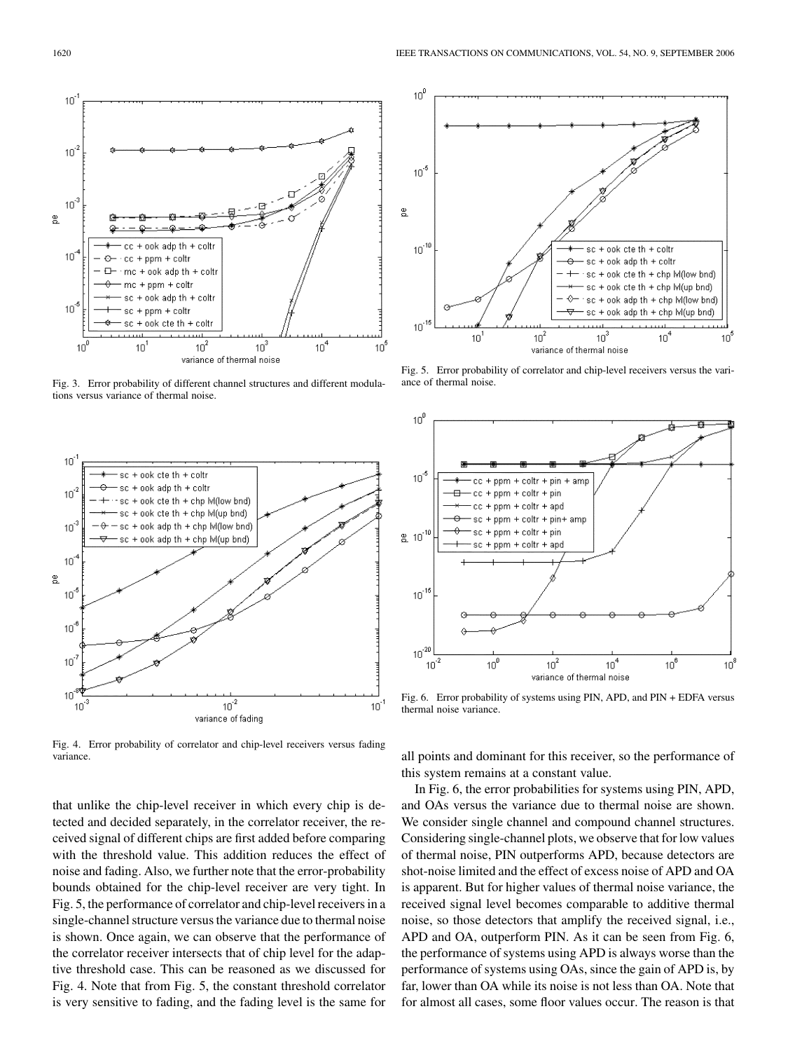Fig. 3. Error probability of different channel structures and different modulations versus variance of thermal noise.

variance of thermal noise

 $10^{\degree}$ 

10<sup>°</sup>

 $10^5$ 

+ ook adp th + coltr

 $\cdot$  mc + ook adp th + coltr

sc + ook adp th + coltr

sc + ook cte th + coltr

+ ook cte th + colti

+ ook cte th + chp lvl(low bnd)

+ ook adp th + chp M(low bnd)

 $\cdot$  ook adp th + chp W(up bnd)

sc + ook cte th + chp lvl(up bnd)

 $\frac{1}{2}$  =  $\frac{1}{2}$  +  $\frac{1}{2}$  ook ado th +  $\frac{1}{2}$  coltr

sc.

<u>iaa</u>

 $10^7$ 

 $cc + ppm + colt$ 

mc + ppm + coltr

 $sc + ppm + coltr$ 

шú

 $10$ 

сc

 $\Box$ 



that unlike the chip-level receiver in which every chip is detected and decided separately, in the correlator receiver, the received signal of different chips are first added before comparing with the threshold value. This addition reduces the effect of noise and fading. Also, we further note that the error-probability bounds obtained for the chip-level receiver are very tight. In Fig. 5, the performance of correlator and chip-level receivers in a single-channel structure versus the variance due to thermal noise is shown. Once again, we can observe that the performance of the correlator receiver intersects that of chip level for the adaptive threshold case. This can be reasoned as we discussed for Fig. 4. Note that from Fig. 5, the constant threshold correlator is very sensitive to fading, and the fading level is the same for



Fig. 5. Error probability of correlator and chip-level receivers versus the variance of thermal noise.



Fig. 6. Error probability of systems using PIN, APD, and PIN + EDFA versus thermal noise variance.

all points and dominant for this receiver, so the performance of this system remains at a constant value.

In Fig. 6, the error probabilities for systems using PIN, APD, and OAs versus the variance due to thermal noise are shown. We consider single channel and compound channel structures. Considering single-channel plots, we observe that for low values of thermal noise, PIN outperforms APD, because detectors are shot-noise limited and the effect of excess noise of APD and OA is apparent. But for higher values of thermal noise variance, the received signal level becomes comparable to additive thermal noise, so those detectors that amplify the received signal, i.e., APD and OA, outperform PIN. As it can be seen from Fig. 6, the performance of systems using APD is always worse than the performance of systems using OAs, since the gain of APD is, by far, lower than OA while its noise is not less than OA. Note that for almost all cases, some floor values occur. The reason is that

<span id="page-6-0"></span> $10<sup>°</sup>$ 

 $10^{\circ}$ 

 $10^{\circ}$ 

 $10<sup>1</sup>$ 

 $10^{\degree}$ 

 $10^{\degree}$ 

 $10^4$ 

 $10<sup>1</sup>$ 

 $10$  $\frac{9}{2}$ 

 $10$ 

 $10<sup>7</sup>$ 

 $10<sup>7</sup>$ 

 $10$ 

 $10<sup>1</sup>$ 

 $\frac{9}{2}$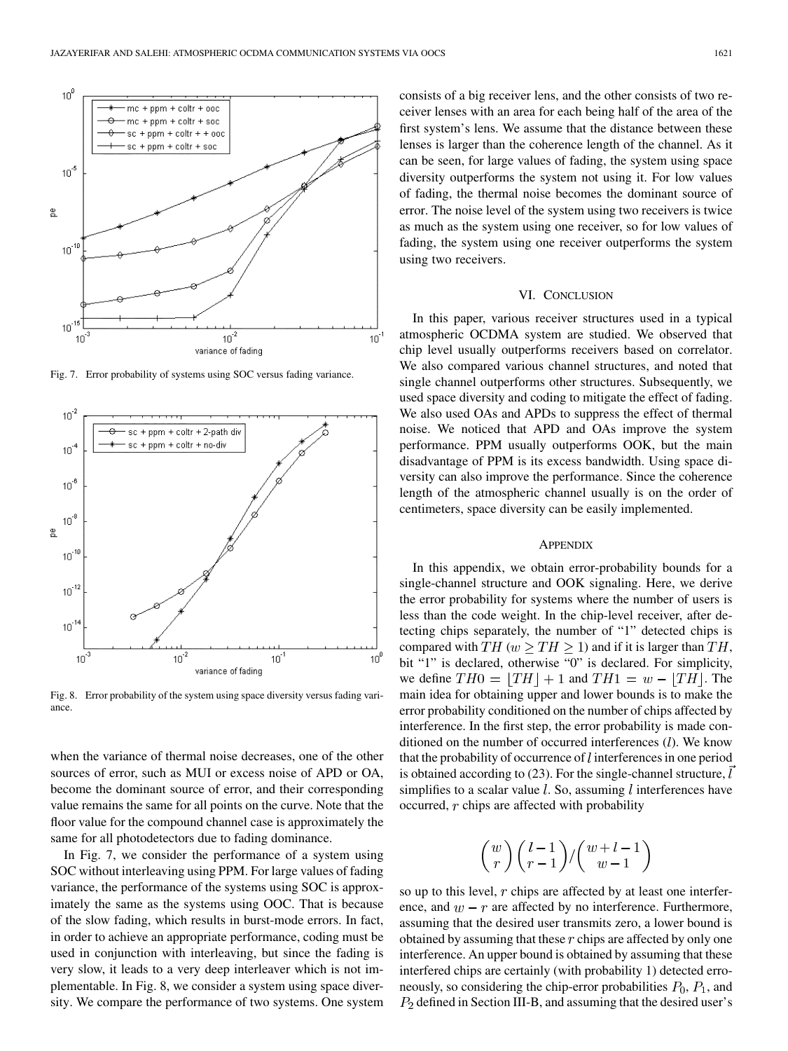<span id="page-7-0"></span>

Fig. 7. Error probability of systems using SOC versus fading variance.



Fig. 8. Error probability of the system using space diversity versus fading variance.

when the variance of thermal noise decreases, one of the other sources of error, such as MUI or excess noise of APD or OA, become the dominant source of error, and their corresponding value remains the same for all points on the curve. Note that the floor value for the compound channel case is approximately the same for all photodetectors due to fading dominance.

In Fig. 7, we consider the performance of a system using SOC without interleaving using PPM. For large values of fading variance, the performance of the systems using SOC is approximately the same as the systems using OOC. That is because of the slow fading, which results in burst-mode errors. In fact, in order to achieve an appropriate performance, coding must be used in conjunction with interleaving, but since the fading is very slow, it leads to a very deep interleaver which is not implementable. In Fig. 8, we consider a system using space diversity. We compare the performance of two systems. One system consists of a big receiver lens, and the other consists of two receiver lenses with an area for each being half of the area of the first system's lens. We assume that the distance between these lenses is larger than the coherence length of the channel. As it can be seen, for large values of fading, the system using space diversity outperforms the system not using it. For low values of fading, the thermal noise becomes the dominant source of error. The noise level of the system using two receivers is twice as much as the system using one receiver, so for low values of fading, the system using one receiver outperforms the system using two receivers.

# VI. CONCLUSION

In this paper, various receiver structures used in a typical atmospheric OCDMA system are studied. We observed that chip level usually outperforms receivers based on correlator. We also compared various channel structures, and noted that single channel outperforms other structures. Subsequently, we used space diversity and coding to mitigate the effect of fading. We also used OAs and APDs to suppress the effect of thermal noise. We noticed that APD and OAs improve the system performance. PPM usually outperforms OOK, but the main disadvantage of PPM is its excess bandwidth. Using space diversity can also improve the performance. Since the coherence length of the atmospheric channel usually is on the order of centimeters, space diversity can be easily implemented.

#### **APPENDIX**

In this appendix, we obtain error-probability bounds for a single-channel structure and OOK signaling. Here, we derive the error probability for systems where the number of users is less than the code weight. In the chip-level receiver, after detecting chips separately, the number of "1" detected chips is compared with TH ( $w \geq TH \geq 1$ ) and if it is larger than TH, bit "1" is declared, otherwise "0" is declared. For simplicity, we define  $TH0 = |TH| + 1$  and  $TH1 = w - |TH|$ . The main idea for obtaining upper and lower bounds is to make the error probability conditioned on the number of chips affected by interference. In the first step, the error probability is made conditioned on the number of occurred interferences  $(l)$ . We know that the probability of occurrence of  $l$  interferences in one period is obtained according to [\(23\)](#page-3-0). For the single-channel structure,  $l$ simplifies to a scalar value  $l$ . So, assuming  $l$  interferences have occurred,  $r$  chips are affected with probability

$$
\binom{w}{r}\binom{l-1}{r-1}/\binom{w+l-1}{w-1}
$$

so up to this level,  $r$  chips are affected by at least one interference, and  $w - r$  are affected by no interference. Furthermore, assuming that the desired user transmits zero, a lower bound is obtained by assuming that these  $r$  chips are affected by only one interference. An upper bound is obtained by assuming that these interfered chips are certainly (with probability 1) detected erroneously, so considering the chip-error probabilities  $P_0$ ,  $P_1$ , and  $P_2$  defined in [Section III-B,](#page-4-0) and assuming that the desired user's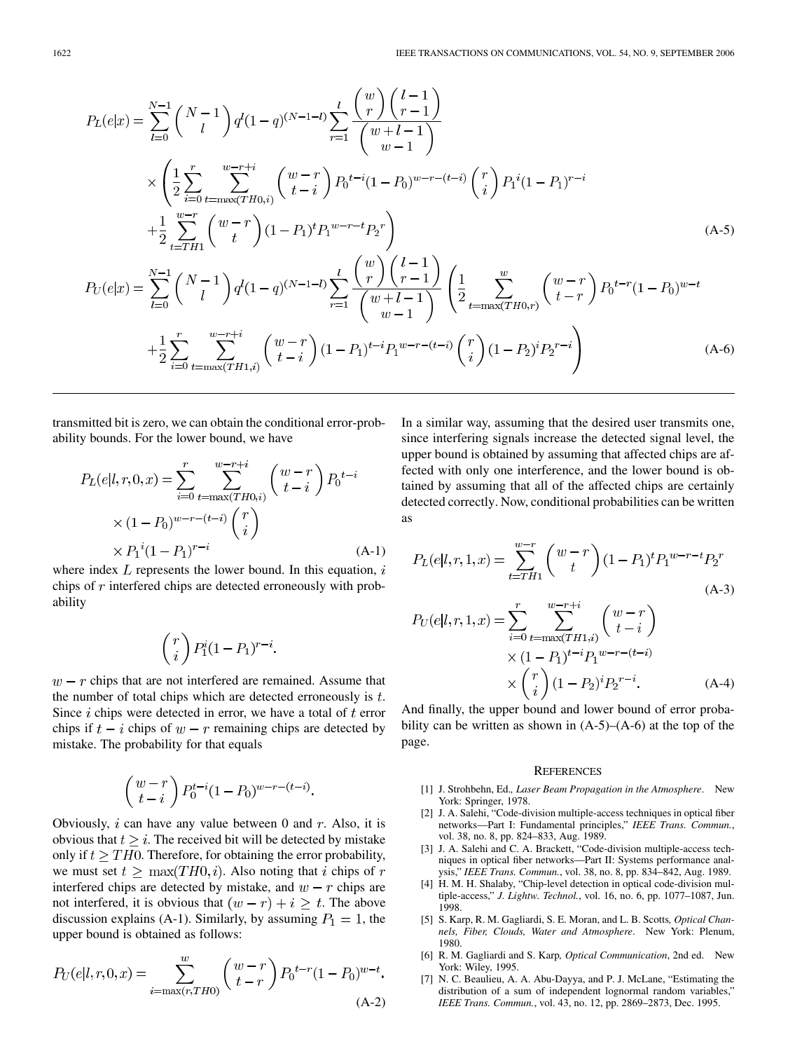<span id="page-8-0"></span>
$$
P_{L}(e|x) = \sum_{l=0}^{N-1} {N-1 \choose l} q^{l} (1-q)^{(N-1-l)} \sum_{r=1}^{l} \frac{{\binom{w}{r} \binom{l-1}{r-1}}}{\binom{w+l-1}{w-1}}
$$
  
\n
$$
\times \left(\frac{1}{2} \sum_{i=0}^{r} \sum_{t=\max(TH0,i)}^{w-r+i} {\binom{w-r}{t-i}} P_{0}^{t-i} (1-P_{0})^{w-r-(t-i)} {\binom{r}{i}} P_{1}^{i} (1-P_{1})^{r-i} + \frac{1}{2} \sum_{t=TH1}^{w-r} {\binom{w-r}{t}} (1-P_{1})^{t} P_{1}^{w-r-t} P_{2}^{r} \right)
$$
  
\n
$$
P_{U}(e|x) = \sum_{l=0}^{N-1} {N-1 \choose l} q^{l} (1-q)^{(N-1-l)} \sum_{r=1}^{l} \frac{{\binom{w}{r} \binom{l-1}{r-1}}}{\binom{w+l-1}{w-1}} \left(\frac{1}{2} \sum_{t=\max(TH0,r)}^{w} {\binom{w-r}{t-r}} P_{0}^{t-r} (1-P_{0})^{w-t} + \frac{1}{2} \sum_{i=0}^{r} \sum_{t=\max(TH1,i)}^{w-r+i} {\binom{w-r}{t-i}} (1-P_{1})^{t-i} P_{1}^{w-r-(t-i)} {\binom{r}{i}} (1-P_{2})^{i} P_{2}^{r-i} \right)
$$
(A-6)

transmitted bit is zero, we can obtain the conditional error-probability bounds. For the lower bound, we have

$$
P_L(e|l, r, 0, x) = \sum_{i=0}^{r} \sum_{t=\max(TH0, i)}^{w-r+i} {w-r \choose t-i} P_0^{t-i}
$$
  
× (1 - P<sub>0</sub>)<sup>w-r-(t-i)</sup>  ${r \choose i}$   
× P<sub>1</sub><sup>i</sup>(1 - P<sub>1</sub>)<sup>r-i</sup> (A-1)

where index  $L$  represents the lower bound. In this equation,  $i$ chips of  $r$  interfered chips are detected erroneously with probability

$$
\binom{r}{i} P_1^i (1 - P_1)^{r - i}.
$$

 $w - r$  chips that are not interfered are remained. Assume that the number of total chips which are detected erroneously is  $t$ . Since  $i$  chips were detected in error, we have a total of  $t$  error chips if  $t - i$  chips of  $w - r$  remaining chips are detected by mistake. The probability for that equals

$$
\binom{w-r}{t-i} P_0^{t-i} (1-P_0)^{w-r-(t-i)}.
$$

Obviously,  $i$  can have any value between 0 and  $r$ . Also, it is obvious that  $t \geq i$ . The received bit will be detected by mistake only if  $t \geq TH0$ . Therefore, for obtaining the error probability, we must set  $t > \max(TH0, i)$ . Also noting that i chips of r interfered chips are detected by mistake, and  $w - r$  chips are not interfered, it is obvious that  $(w - r) + i \geq t$ . The above discussion explains (A-1). Similarly, by assuming  $P_1 = 1$ , the upper bound is obtained as follows:

$$
P_U(e|l, r, 0, x) = \sum_{i = \max(r, TH0)}^{w} \binom{w - r}{t - r} P_0^{t - r} (1 - P_0)^{w - t}.
$$
\n(A-2)

In a similar way, assuming that the desired user transmits one, since interfering signals increase the detected signal level, the upper bound is obtained by assuming that affected chips are affected with only one interference, and the lower bound is obtained by assuming that all of the affected chips are certainly detected correctly. Now, conditional probabilities can be written as

$$
P_L(e|l, r, 1, x) = \sum_{t=TH1}^{w-r} {w-r \choose t} (1 - P_1)^t P_1^{w-r-t} P_2^r
$$
\n(A-3)

$$
P_U(e|l, r, 1, x) = \sum_{i=0}^{r} \sum_{t=\max(TH1, i)}^{w-r+i} {w-r \choose t-i} \times (1-P_1)^{t-i} P_1^{w-r-(t-i)} \times {r \choose i} (1-P_2)^i P_2^{r-i}.
$$
 (A-4)

And finally, the upper bound and lower bound of error probability can be written as shown in  $(A-5)$ – $(A-6)$  at the top of the page.

#### **REFERENCES**

- [1] J. Strohbehn, Ed.*, Laser Beam Propagation in the Atmosphere*. New York: Springer, 1978.
- [2] J. A. Salehi, "Code-division multiple-access techniques in optical fiber networks—Part I: Fundamental principles," *IEEE Trans. Commun.*, vol. 38, no. 8, pp. 824–833, Aug. 1989.
- [3] J. A. Salehi and C. A. Brackett, "Code-division multiple-access techniques in optical fiber networks—Part II: Systems performance analysis," *IEEE Trans. Commun.*, vol. 38, no. 8, pp. 834–842, Aug. 1989.
- [4] H. M. H. Shalaby, "Chip-level detection in optical code-division multiple-access," *J. Lightw. Technol.*, vol. 16, no. 6, pp. 1077–1087, Jun. 1998.
- [5] S. Karp, R. M. Gagliardi, S. E. Moran, and L. B. Scotts*, Optical Channels, Fiber, Clouds, Water and Atmosphere*. New York: Plenum, 1980.
- [6] R. M. Gagliardi and S. Karp*, Optical Communication*, 2nd ed. New York: Wiley, 1995.
- [7] N. C. Beaulieu, A. A. Abu-Dayya, and P. J. McLane, "Estimating the distribution of a sum of independent lognormal random variables,' *IEEE Trans. Commun.*, vol. 43, no. 12, pp. 2869–2873, Dec. 1995.